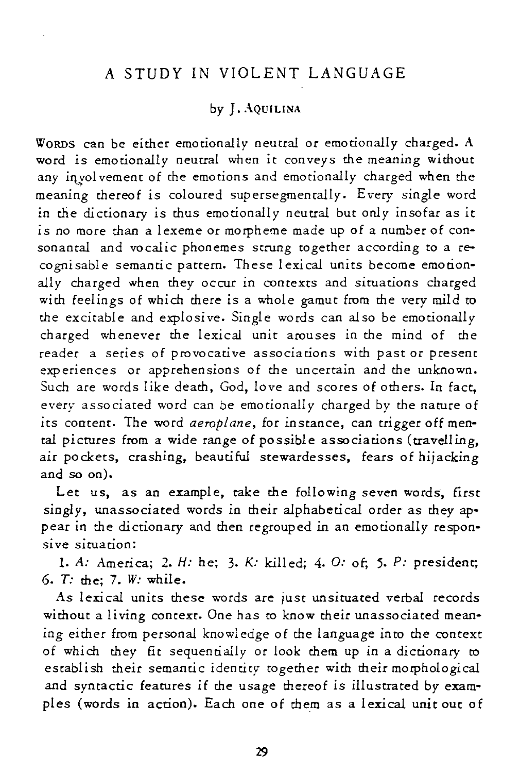## A STUDY IN VIOLENT LANGUAGE

### by J. AQUILINA

WORDS can be either emotionally neutral or emotionally charged. A word is emotionally neutral when *it* conveys the meaning without any involvement of the emotions and emotionally charged when the meaning thereof is coloured supersegmentally. Every single word in the dictionary *is* thus emotionally neutral but only insofar as it *is* no more than a lexeme or morpheme made up of a number of consonantal and vocalic phonemes strung together according to a recognisable semantic pattern. These lexical units become emotionally charged when they occur in contexts and situations charged with feelings of which there is a whole gamut from the very mild to the excitable and explosive. Single words can also be emotionally charged whenever the lexical unit arouses in the mind of the reader a series of provocative associations with past or present experiences or apprehensions of the uncertain and the unknown. Such are words like death, God, love and scores of others. In fact, every associated word can be emotionally charged by the nature of its content. The word *aeroplane,* for instance, can trigger off mental pictures from a wide range of possible associations (travelling, air pockets, crashing, beautiful stewardesses, fears of hijacking and so on).

Let us, as an example, take the following seven words, first singly, unassociated words in their alphabetical order as they appear in the dictionary and then regrouped in an emotionally responsive siruation:

1. A: America; 2. H: he; 3. K: killed; 4. 0: of; 5. P: president; 6. *T:* the; 7. *W:* while.

As lexical units these words are just unsituated verbal records without a living context. One has to know their unassociated meaning either from personal knowledge of the language into the context of which they fit sequentially or look them up in a dictionary to establish their semantic identity- together with *their* morphological and syntactic features if the usage thereof is illustrated by examples (words in action). Each one of them as a lexical unit out of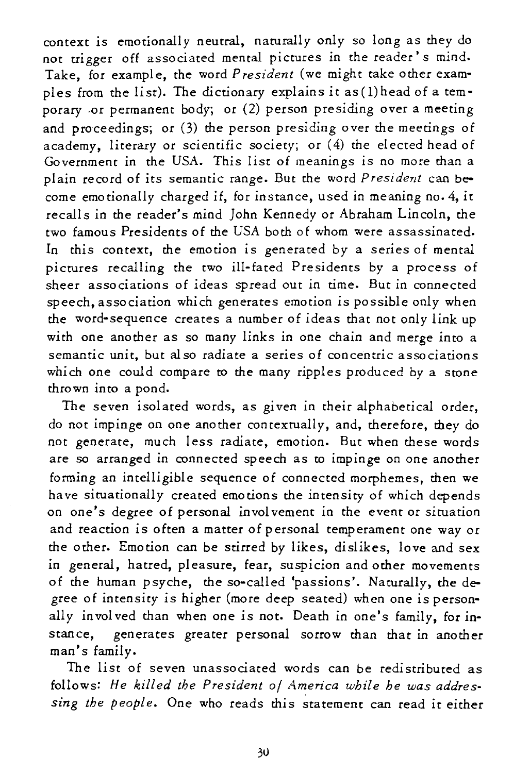context *is* emotionally neutral, naturally only so long as they do not trigger off associated mental pictures in the reader's mind. Take, for example, the word *President* (we might take other examples from the list). The dictionary explains *it* as(1)head of a temporary -or permanent body; or (2) person presiding over a meeting and proceedings; or (3) the person presiding over the meetings of academy, literary or scientific society; or (4) the elected head of Government in the USA. This list of meanings *is* no more than a plain record of *its* semantic range. But the word *President* can become emotionally charged if, for instance, used in meaning no. 4, it recalls in the reader's mind John Kennedy or Abraham Lincoln, the two famous Presidents of the USA both of whom were assassinated. In this context, the emotion is generated by a series of mental pictures recalling the two ill-fated Presidents by a process of sheer associations of ideas spread out in time. But in connected speech, association which generates emotion is possible only when the word-sequence creates a number of ideas that not only link up with one another as so many links in one chain and merge into a semantic unit, but also radiate a series of concentric associations which one could compare to the many ripples produced by a stone thro wn in to a pond.

The seven isolated words, as given in their alphabetical order, do not impinge on one another contextually, and, therefore, they do not generate, much less radiate, emotion. But when these words are so arranged in connected speech as to impinge on one another forming an intelligible sequence of connected morphemes, then we have situationally created emotions the intensity of which depends on one's degree of personal involvement in the event or situation and reaction *is* often a matter of personal temperament one way or the other. Emotion can be stirred by likes, dislikes, love and sex in general, hatred, pleasure, fear, suspicion and other movements of the human psyche, the so-called 'passions'. Naturally, the degree of intensity *is* higher (more deep seated) when one is personally involved than when one is not. Death in one's family, for instance, generates greater personal sorrow than that in another man's family.

The list of seven unassociated words can be redistributed as follows: *He killed the President* 0/ *America while he was addressing the people.* One who reads this statement can read it either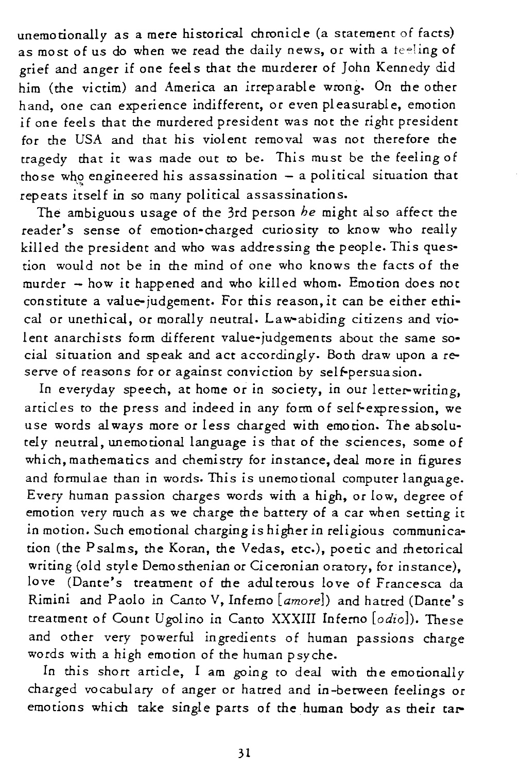unemocionally as a mere historical chronicle (a statement of facts) as most of us do when we read the daily news, or with a teeling of grief and anger if one feel s that the murderer of John Kennedy did him (the victim) and America an irreparable wrong. On the other hand, one can experience indifferent, or even pleasurable, emotion if one feels that the murdered president was not the right president for the USA and that his violent removal was not therefore the tragedy that *it* was made out to be. This must be the feeling of those who engineered his assassination  $-$  a political situation that repeats itself in so many political assassinations.

The ambiguous usage of the 3rd person *he* might also affect the reader's sense of emotion-charged curiosity to know who really killed the president and who was addressing the people. This question would not be in the mind of one who knows the facts of the murder - how it happened and who killed whom. Emotion does not constitute a value-judgement. For this reason, *it* can be either ethical or unethical, or morally neutral. Law-abiding citizens and violent anarchists form different value-judgements about the same social situation and speak and act accordingly. 80th draw upon a reserve of reasons for or against conviction by self-persuasion.

In everyday speech, at home or in society, in our letter-writing, articles to the press and indeed in any form of self-expression, we use words always more or less charged with emotion. The absolutely neutral, unemotional language is that of the sciences, some of which, mathematics and chemistry for instance, deal more in figures and formulae than in words. *This is* unemotional computer language. Every human passion charges words with a high, or low, degree of emotion very much as we charge the battery of a car when setting it in motion. Such emotional charging is higher in religious communication (the Psalms, the Koran, the Vedas, etc.), poetic and rhetorical writing (old style Demosthenian or Ciceronian oratory, for instance), love (Dante's treatment of the adulterous love of Francesca da Rimini and Paolo in Canto V, Inferno [amore]) and hatred (Dante's treatment of Count Ugolino in Canto XXXIII Inferno [odio]). These and other very powerful ingredients of human passions charge words with a high emotion of the human psyche.

In *this* short article, I am going to deal with the emotionally charged vocabulary of anger or harred and in-between feelings or emotions which take single parts of the human body as their tar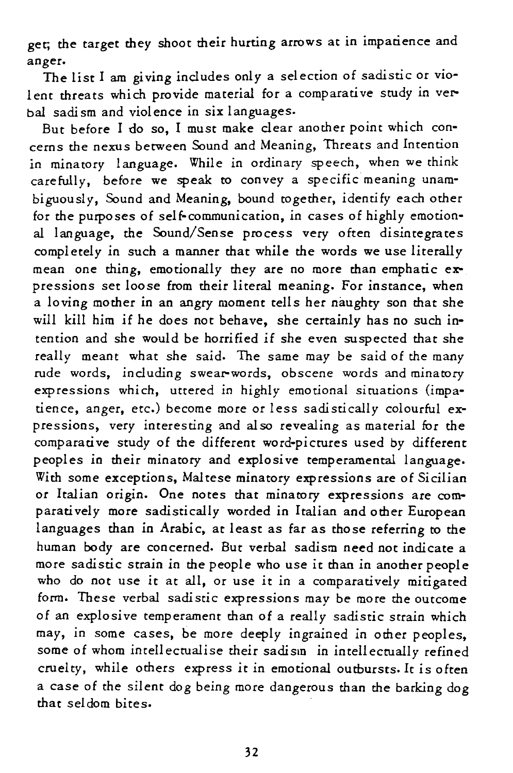get; the target they shoot their hurting arrows at in impatience and anger.

The list I am giving includes only a selection of sadistic or *vio*lent threats which provide material for a comparative *study* in verbal sadism and violence in six languages.

But before I do so, I must make clear another point which concerns the nexus between Sound and Meaning, Threats and Intention in minatory language. While in ordinary speech, when we think carefully, before we speak to convey a specific meaning unambiguously, Sound and Meaning, bound together, identify each other for the purposes of self-communication, in cases of highly emotional language, the Sound/Sense process very often disintegrates completely in such a manner that while the words we use literally mean one thing, emotionally they are no more than emphatic expressions set loose from their literal meaning. For instance, when a loving mother in an angry moment tells her naughty son that she will kill him if he does not behave, she certainly has no such intention and she would be horrified if she even suspected that she really meant what she said. The same may be said of the many rude words, including swear-words, obscene words and minatory expressions which, uttered in highly emotional situations (impatience, anger, etc.) become more or less sadistically colourful expressions, very interesting and also revealing as material for the comparative study of the different word-picrures used by different peoples in their minatory and explosive temperamental language. With some exceptions, Mal tese minatory expressions are of *Sicilian*  or Italian origin. One notes that minatory expressions are comparatively more sadistically worded in Italian and other European languages than in Arabic, at least as far as those referring to the human body are concerned. But verbal sadism need not indicate a more sadistic strain in the people who use it than in another people who do not use *it* at all, or use it in a comparatively mitigated form. These verbal sadistic expressions may be more the outcome of an explosive temperament than of a really sadistic strain which may, in some cases, be more deeply ingrained in other peoples, some of whom intellectualise their sadism in intellectually refined cruelty, while others express it in emotional outbursts. It is often a case of the silent dog being more dangerous than the barking dog that seldom bites.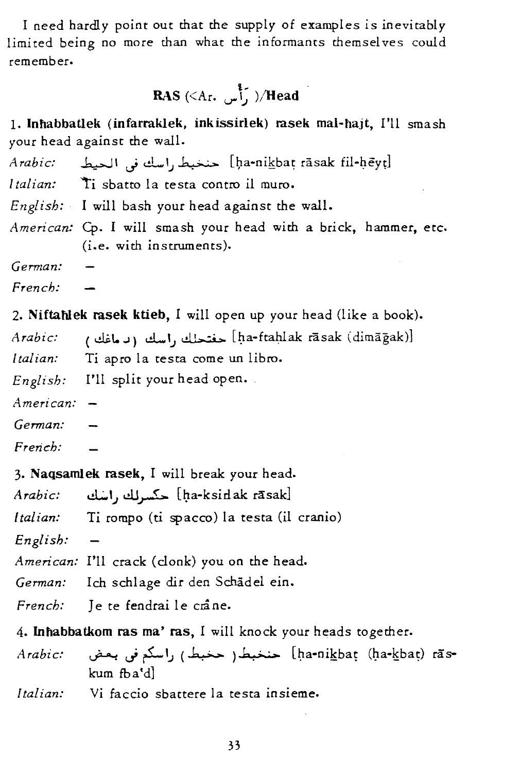I need hardly point out that the supply of examples is inevitably limited being no more than what the informants themselves could remember.

RAS 
$$
(\langle Ar, \int_{a}^{a} \rangle / \text{Head})
$$

1. Inhabbatlek (infarraklek, inkissirlek) rasek mal-hajt, I'll smash your head against the wall.

*Arabic:* ~I,.j d-I,; ~ [I;ta-nikba~ rasak fil-!:J.eyd

*Italian:* 'ti sbatto la testa contro il muro.

*English:* I will bash your head against the wall.

*American:* Cp. I will smash your head with a brick, hammer, etc. (i.e. with instruments).

*German: French:* 

2. **Niftahlek rasek ktieb, I** will open up your head (like a book).<br>*Arabic:* (د ماغك (اسك (د ماغك ) *Italian:* Ti apro la testa come un libro. *English:* I'll split your head open. *American: German: French:* 

3. Naqsamlek rasek, I will break your head.

*Arabic:* d;..1.; cl.l~ [~a-ksidak rasak] *Italian:* Ti rompo (ti spacco) la testa (il cranio) *English:*  American: I'll crack (clonk) you on the head. *German:* Ich schlage dir den Schadel ein. *French:* Je te fendrai le crâne. 4. Inhabbatkom ras ma' ras, I will knock your heads together.

*Arabic:* ~,.j rL1,; (~ ) 6.>.,;.,. [l)a-nikbat (/.1a-kba~) nIskum fba'd]

*Italian:* Vi faccio sbattere la testa insieme.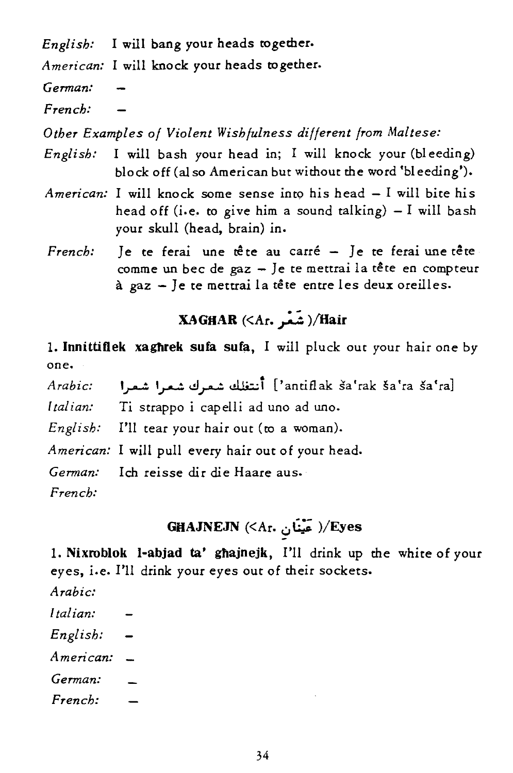*English:* I will bang your heads together.

*American:* I will knock your heads together.

*German:* 

*French:* 

*Other Examples of Violent Wishfulness different from Maltese:* 

- *English:* I will bash your head in; I will knock your (bleeding) block off (a! so American but without the word 'bleeding').
- *American:* I will knock some sense into his head I will bite his head off (i.e. to give him a sound talking)  $-I$  will bash your skull (head, brain) in.
- *French*: Je te ferai une tête au carré Je te ferai une tête comme un bec de gaz - Je te mettrai la tête en compteur à gaz - Je te mettrai la tête entre les deux oreilles.

# XAGHAR (<Ar. ; شَعْر )/Hair

1. Innittiflek xaghrek sufa sufa, I will pluck out your hair one by one.

*Arabic:*  l,'antiflak ša'rak ša'ra ša'ra] أنتظك شعرك شعرا شعرا

*[tal ian:*  Ti strappo i capelli ad uno ad uno.

*English:* I'll tear your hair out (to a woman).

*American:* I will pull every hair out of your head.

*German:* Ich reisse dir die Haare aus.

*French:* 

# GHAJNEJN  $(A_{r.}$ ر عَيْنَان )/Eyes

1. Nixroblok l-abjad ta' ghajnejk, I'll drink up the white of your *eyes,* i.e. I'll drink your *eyes* out of their sockets.

- *Arabic:*
- *Italian:*
- *English:*

*American:* 

- *German:*
- *French:*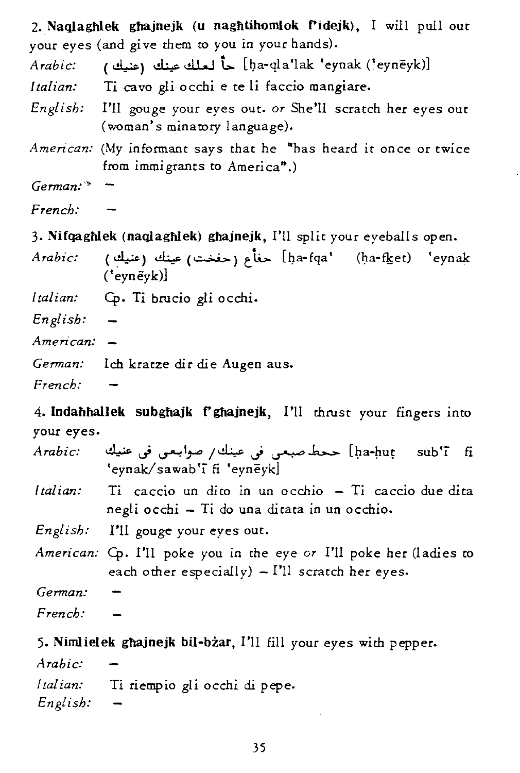|             | 2. Naqlaghlek ghajnejk (u naghtihomlok f'idejk), I will pull out<br>your eyes (and give them to you in your hands). |
|-------------|---------------------------------------------------------------------------------------------------------------------|
| Arabic:     | ( أو عينك [ba-qla'lak 'eynak ('eynēyk)] حاً لعلك عينك (عنيك )                                                       |
|             | Italian: Ti cavo gli occhi e te li faccio mangiare.                                                                 |
|             | English: I'll gouge your eyes out. or She'll scratch her eyes out<br>(woman's minatory language).                   |
|             | American: (My informant says that he "has heard it once or twice<br>from immigrants to America".)                   |
| $German:$ - |                                                                                                                     |
| French:     |                                                                                                                     |
|             | 3. Nifqaghlek (naqlaghlek) ghajnejk, I'll split your eyeballs open.                                                 |
|             | Arabic: (عنيك) عينك (جفخت) عينك (ha-fqa' (ḥa-fk̪et) 'eynak<br>$('eyn\tilde{e}yk)]$                                  |
|             | Italian: Cp. Ti brucio gli occhi.                                                                                   |
| English:    |                                                                                                                     |
|             |                                                                                                                     |

- *American:*
- *German:* Ich kratze dir die Augen aus.
- *French:*

4. Indahhallek subghajk f'ghajnejk, I'll thrust your fingers into your eyes.

| Arabic: | ha-huṭ sub'ī fi) ححط-صبعی فی عینك/صوابعی فی عنیك<br>'eynak/sawab'i fi 'eyneyk]                                          |
|---------|-------------------------------------------------------------------------------------------------------------------------|
|         | Italian: Ti caccio un dito in un occhio - Ti caccio due dita<br>negli occhi - Ti do una ditata in un occhio.            |
|         | English: I'll gouge your eyes out.                                                                                      |
|         | American: Cp. I'll poke you in the eye or I'll poke her (ladies to<br>each other especially) $-$ I'll scratch her eyes. |
| German: |                                                                                                                         |
| French: |                                                                                                                         |
|         |                                                                                                                         |

5. Nimlielek ghajnejk bil-bzar, I'll fill your eyes with pepper.

*Arabic: / tal ian:* Ti riempio *gli occhi* di pepe. *English:*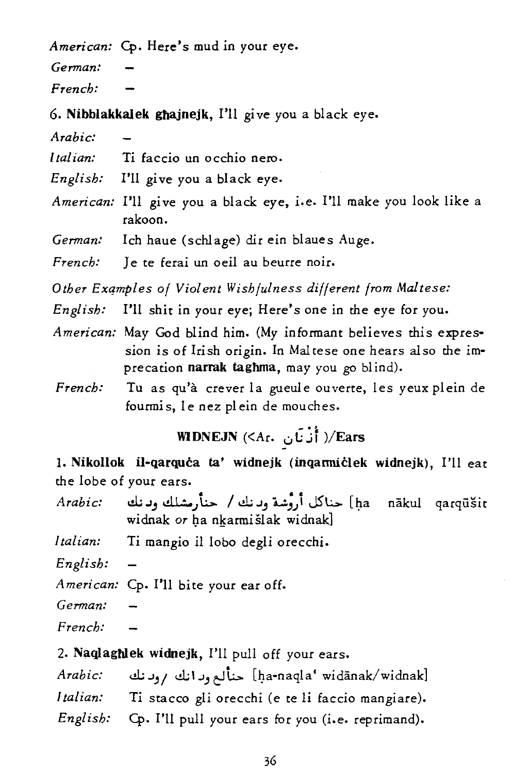*American:* Cp. Here's mud in your eye.

*German:* 

*French:* 

6. NibblakkaIek ghajnejk, I'll give you a black eye.

*Arabic:* 

*Italian:* Ti faccio un occhio nero.

*English:* I'U give you a black eye.

*American:* PH give you a black eye, *i.e.* PH make you look like a rakoon.

*German:* Ich haue (schlage) dir ein blaues Auge.

*French:* Je te ferai un oeil au beurre noir.

*Other Exqmples of Violent Wishfulness different from Maltese:* 

- *English:* I'U shit in your eye; Here's one in the eye for you.
- *American:* May God blind him. (My informant believes this expression is of Irish origin. In Maltese one hears also the *im*precation narrak taghma, may *you* go blind).
- *French:*  Tu as qu'a crever la gueule ouverte, les yeux plein de fourmis, le nez plein de mouches.

WIDNEJN  $(\leq A_{\rm f}, \quad \vdots)$ ا أَنْ نَان $\mathcal{V}$ Ears

1. Nikollok il-qarquċa ta' widnejk (inqanniċlek widnejk), I'll eat the lobe of your ears.

| Arabic:  | ha nākul qarqūšit] حناكل أروْشة وبرنك / حنأرمشلك وبرنك<br>widnak or ha nkarmišlak widnak]                                                                                                                                                                                                                                       |  |
|----------|---------------------------------------------------------------------------------------------------------------------------------------------------------------------------------------------------------------------------------------------------------------------------------------------------------------------------------|--|
| Italian: | Ti mangio il lobo degli orecchi.                                                                                                                                                                                                                                                                                                |  |
| English: |                                                                                                                                                                                                                                                                                                                                 |  |
|          | American: Cp. I'll bite your ear off.                                                                                                                                                                                                                                                                                           |  |
| German:  |                                                                                                                                                                                                                                                                                                                                 |  |
| French:  |                                                                                                                                                                                                                                                                                                                                 |  |
|          | 2. Naqlaghlek widnejk, I'll pull off your ears.                                                                                                                                                                                                                                                                                 |  |
|          | $\mathcal{A}$ , $\mathcal{A}$ , $\mathcal{A}$ , $\mathcal{A}$ , $\mathcal{A}$ , $\mathcal{A}$ , $\mathcal{A}$ , $\mathcal{A}$ , $\mathcal{A}$ , $\mathcal{A}$ , $\mathcal{A}$ , $\mathcal{A}$ , $\mathcal{A}$ , $\mathcal{A}$ , $\mathcal{A}$ , $\mathcal{A}$ , $\mathcal{A}$ , $\mathcal{A}$ , $\mathcal{A}$ , $\mathcal{A}$ , |  |

*Arabic:* d: ..1.,/ e!.;I.J., *tlL..* [qa-naqla' widanak/ widnak] *Italian:* Ti stacco gli orecchi (e te li faccio mangiare).

English: Cp. I'll pull your ears for you (i.e. reprimand).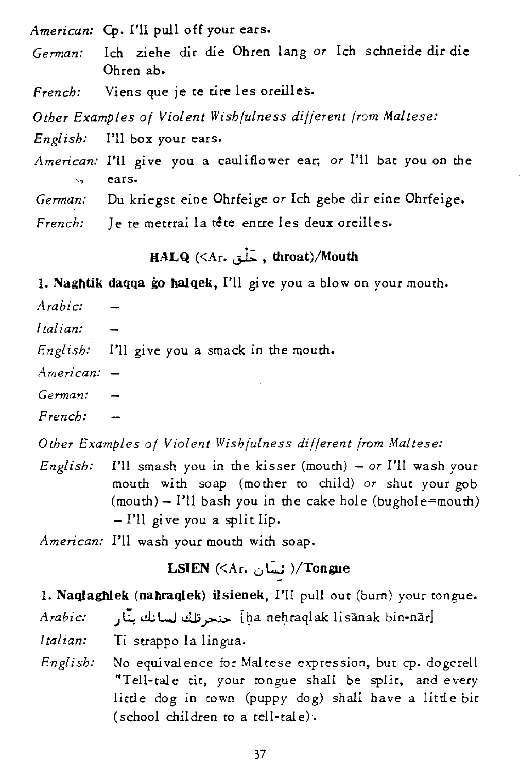*American:* Cp. I'll pull off your ears. *German:* Ich ziehe dir die Ohren lang *or* Ich schneide dir *die*  Ohren ab. *French:* Viens que je te tire les oreilles. *Other Examples of Violent Wishfulness different from Maltese: English:* I'll box your ears. *American:* I'U give you a cauliflower ear; *or* I'll bat you on the '-'> ears. *German:* Du kriegst eine Ohrfeige *or* Ich gebe dir eine Ohrfeige. French: Je te mettrai la tête entre les deux oreilles.

UALQ *«At.* ~ , throat)/Mouth

1. Naghtik daqqa go halqek, I'll *gi* ve you a blow on your mouth.

- *Arabic:*
- *Italian:*

*English:* I'll give you a smack in the mouth.

- *American:*
- *German:*

*French:* 

*Other Examples of Violent Wishfulness different from Maltese:* 

*English:* I'll smash you in the kisser (mouth) - *or* I'll wash your mouth with soap (mother to child) *or* shut your gob  $(mouth) - I'll$  bash you in the cake hole (bughole=mouth) - I'll give you a split lip.

*American:* I'll wash your mouth with soap.

# LSIEN (<Ar. لسَأن )/Tongue

1. Naqlaghlek (nahraqlek) ilsienek, I'll pull out (bum) your tongue.

*Arabic:* ) ~ cl; W dJ:; ~ [~a nel;lCaqlak lisanak bin-narl

*Italian:* Ti Strappo la lingua.

*English:* No equivalence for Mal tese expression, but cp. dogerell "Tell-tale tit, your tongue shall be split, and every little dog in town (puppy dog) shall have a litde bit (school children to a tell-tale).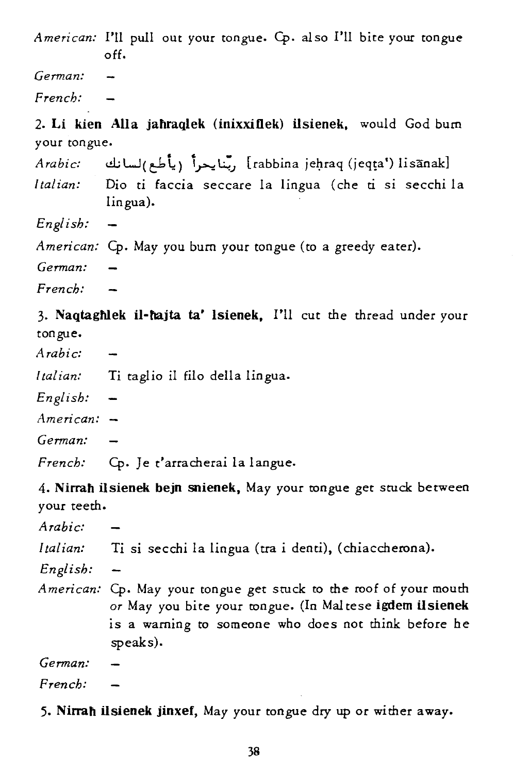*American:* I'U pull out your tongue. Cp. also I'll bite your tongue off.

*German:* 

*French:* 

2. Li kien Alla jahraqlek (inixxiflek) ilsienek, would God bum your tongue.

• 1. \_ <sup>L</sup>s" - [ ] *Arabic:* I.!.I.,;W(C"""'~) I~~.J rabbina jel:traq (jeq~a') lisanak *Italian:*  Dio ti faccia seccare la lingua (che ti si secchi la

*English:* 

lingua).

*American:* Cp. May you bum your tongue *(to* a greedy eater).

*German:* 

*French:* 

3. Naqtaghlek il-hajta ta' lsienek, I'll cut the thread under your tongue.

*Arabic:* 

*Italian:* Ti taglio il filo della lingua.

*English:* 

*American:* 

*German:* 

*French:* Cp. Je t'arracherai la langue.

4. Nirrah ilsienek bejn snienek, May your tongue get stuck between your teeth.

*Arabic:*  Italian: Ti si secchi la lingua (tra i denti), (chiaccherona). *English: American:* Cp. May your tongue get stuck to the roof of your mouth or May you bite your tongue. (In Mal tese igdem ilsienek is a warning to someone who does not think before he speaks). *German: French:* 

5. Nirrah ilsienek jinxef, May your tongue dry up or wither away.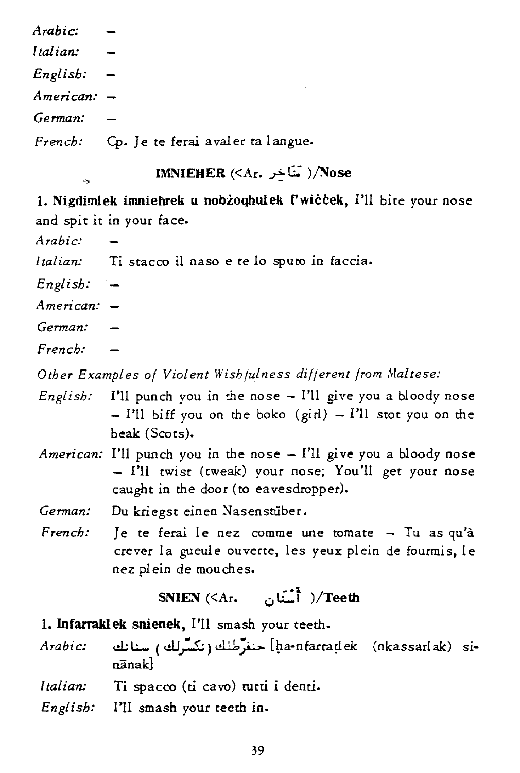*Arabic: Italian: English: American: German:*  French: Cp. Je te ferai avaler ta langue.

### **IMNIEHER**  $(\leq A_r, \leq)$  )/Nose

1. Nigdimlek imniehrek u nobżoqhulek f'wiccek, I'll bite your nose and spit it in your face.

*Arabic:* 

*Italian:* Ti stacco il naso e te lo sputo in faccia.

*English:* 

*American:* 

*German:* 

*French:* 

*Other Examples of Violent Wishfulness different from Maltese:* 

- *English:* I'll punch you in the nose  $-$  I'll give you a bloody nose  $-$  I'll biff you on the boko (girl)  $-$  I'll stot you on the beak (Scots).
- *American:* I'll punch you in the nose I'll give you a bloody nose - I'll twist (tweak) your nose; You'll get your nose caught in the door (to eavesdropper).
- *German:* Du kriegst einen Nasenstiiber.
- French: Je te ferai le nez comme une tomate Tu as qu'à crever la gueule ouverte, les yeux plein de fourmis, le nez plein de mouches.

SNIEN  $(\langle Ar, \cdot \cdot \cdot \cdot \rangle)$  /Teeth

- 1. Infarraklek snienek, I'll smash your teeth.
- *Arabic:* \!I;l.:.- ( clJ,.,:..s;) dJ..1,? [~a-nfarra~ek (nkassarlak) SInānakl
- *Italian:* Ti spacco (ti cavo) tutti i denti.
- *English:* I'll smash your teeth in.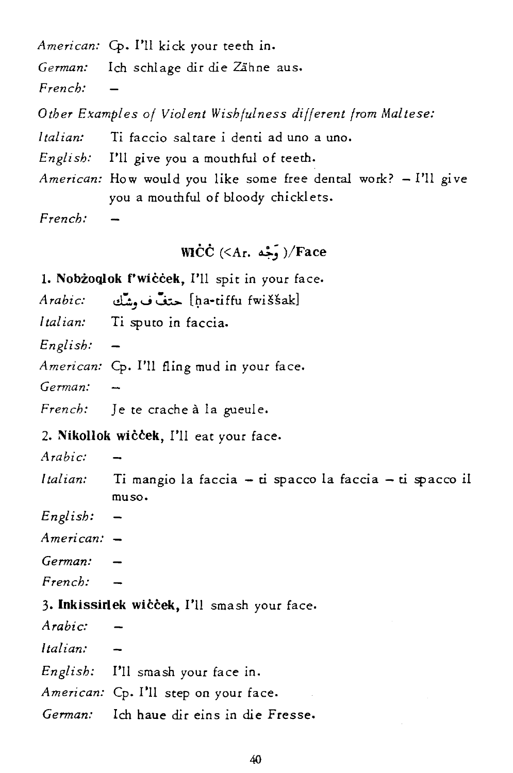*American:* Cp. I'll *kick* your teeth *in. German:* Ich schlage dir die Zähne aus. *French: Other Examples of Violent Wishfulness different from Maltese: Italian: Ti* faccio sal tare *i* denti ad uno a uno. *English:* I'll give you a mouthful of teeth. *American:* How would you like some free dental work? - I'll give *you* a mouthful of bloody chicklets. *French:* 

# WICC (<Ar.  $\epsilon$ جَّه)/Face

1. Nobzoqlok f'wiccek, I'll *spit in your* face.

*Arabic:* cl::.<sup>J</sup> ...; ~ [ga-tiffu fwissak]

*Italian:* Ti sputo in faccia.

*English:* 

*American:* Cp. I'll fling mud *in* your face.

*German:* 

*French:* Je te crache a la gueule.

2. Nikollok wiccek, I'll eat your face.

*Arabic:* 

*Italian: Ti* mangio la faccia - tl spacco la faccia - *ti* spacco *il*  muso.

*English:* 

*American:* 

*German:* 

*French:* 

### 3. Inkissirlek wiccek, I'll smash your face.

*Arabic: Italian: English:* I'll smash your face *in. American:* Cp. I'll step on *your* face. *German:* Ich haue dir eins in die Fresse.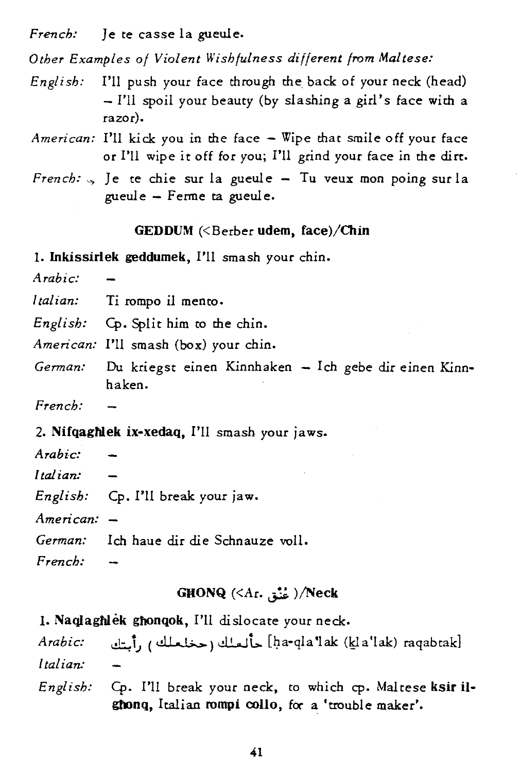*French:* ]e te casse la gueule.

*Other Examples of Violent Wishfulness different from Maltese:* 

- *English:* I'll push your face through the back of your neck (head) - I'll spoil your beauty (by slashing a girl's face with a razor).
- *American:* I'll kick you in the face Wipe that smile off your face or I'll wipe it off for you; I'll grind your face in the dirt.
- *French:* ..., Je te chie sur la gueule Tu veux mon poing sur la gueule - Ferme ta gueule.

#### $GEDDUM \ll Be$ rber udem, face)/Chin

1. Inkissirlek geddumek, I'll smash your chin.

*Arabic:* 

- *Italian:* Ti rompo il menro.
- *English:* Cp. Split him to the chin.

*American:* I'll smash (box) your chin.

- German: Du kriegst einen Kinnhaken Ich gebe dir einen Kinnhaken.
- *French:*
- 2. NifqagNek ix-xedaq, I'll smash your jaws.
- *Arabic:*
- *Italian:*
- *English:* Cp. I'll break your jaw.

*American:* 

German: Ich haue dir die Schnauze voll.

*French:* 

### GHONQ  $(\langle Ar, \frac{1}{2} \rangle)$ /Neck

1. Naqlaghlek ghonqok, I'll dislocate your neck.

*Arabic:* ~i.J (,.11 .~) dWt.. [/fa-qla'lak (19a'lak) raqabtak] *Italian:* 

*English:* Cp. I'll break your neck, to which cp. Maltese ksir i1 ghonq, Italian rompi collo, for a 'trouble maker'.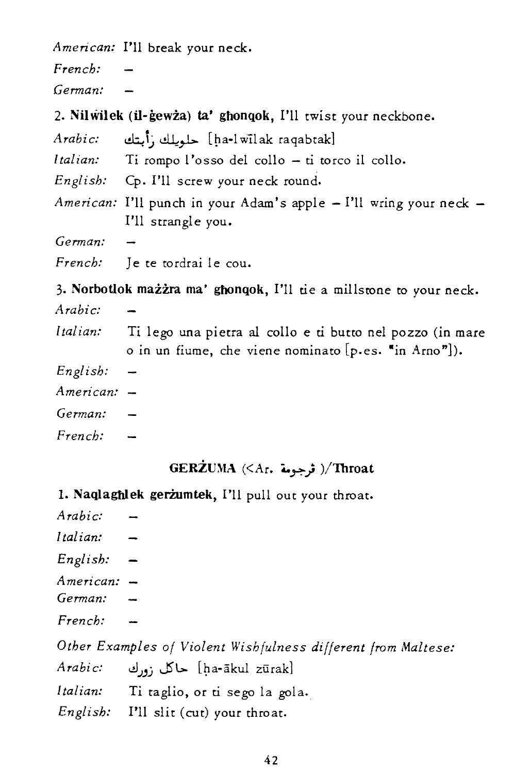*American:* I'll break your neck.

*French: German:*   $\overline{\phantom{0}}$ 

2. Nilwilek (il-gewza) ta' ghonqok, I'll twist your neckbone.

| Arabic:  | [ha-l wil ak raqabtak] حلويلك زأبتك                                                             |
|----------|-------------------------------------------------------------------------------------------------|
| Italian: | Ti rompo l'osso del collo $-$ ti torco il collo.                                                |
|          | English: Cp. I'll screw your neck round.                                                        |
|          | <i>American:</i> I'll punch in your Adam's apple - I'll wring your neck -<br>I'll strangle you. |
| German:  |                                                                                                 |
|          | French: Je te tordrai le cou.                                                                   |
|          |                                                                                                 |

3. Norbotlok mażżra ma' ghonqok, I'll tie a millstone to your neck.

*Arabic: Italian:*  Ti lego una pietra al collo e ti butto nel pozzo (in mare o in un fiume, che viene nominato [p.es. "in Arno"]).

- *English:*
- *American:*

*German:* 

*French:* 

# $GERZUMA$  (<Ar. ترجومة)/Throat

1. Naqlaghlek gerzumtek, I'll pull out your throat.

| Arabic:      |                                                               |
|--------------|---------------------------------------------------------------|
| Italian:     |                                                               |
| $English: -$ |                                                               |
| American: -  |                                                               |
| German:      |                                                               |
| French:      |                                                               |
|              | Other Examples of Violent Wishfulness different from Maltese: |
| Arabi c:     | [ha-ākul zūrak] حاكل زورك                                     |
|              | Italian: Ti taglio, or ti sego la gola.                       |
|              | English: I'll slit (cut) your throat.                         |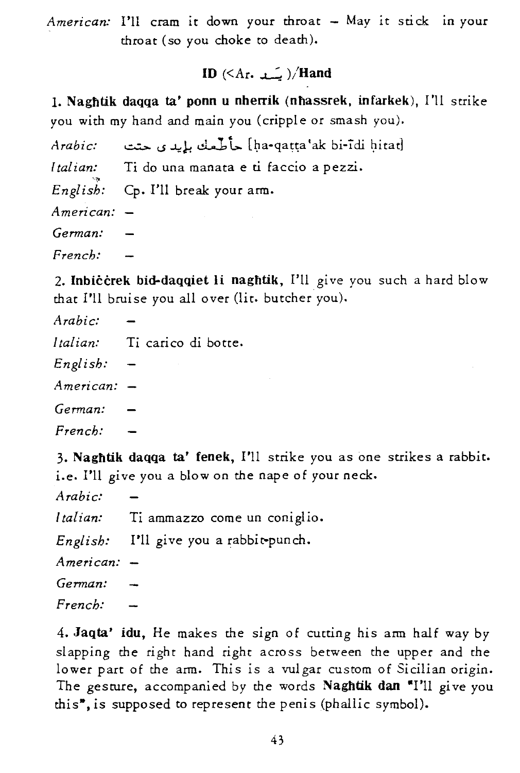American: I'll cram it down your throat - May it stick in your throat (so *you* choke to death).

# ID  $(\leq A_r, \_\_\_)/$ Hand

1. Naghtik daqqa ta' ponn u nherrik (nhassrek, infarkek), I'll strike *you* with my hand and main *you* (cripple or smash you).

ha-qaṭṭa'ak bi-īdi ḥitat] حأطَّمك بإيد ي حتت *Arabic: [tal ian:*  Ti do una manata e ti faccio a pezzi. *English:* Cp. I'll break your arm. *American: German: French:*   $\sim$ 

2. Inbiccrek bid-daqqiet li naghtik, I'll give you such a hard blow that I'll bruise you all over (lit. butcher you).

| Arabi c:  |                          |
|-----------|--------------------------|
| Italian:  | Ti carico di botte.      |
| English:  |                          |
| American: | $\overline{\phantom{0}}$ |
| German:   |                          |
| French:   |                          |

3. Naghtik daqqa ta' fenek, I'll strike you as one strikes a rabbit. i.e. I'll give you a blow on the nape of your neck.

| Arabic:     |                                        |
|-------------|----------------------------------------|
|             | Italian: Ti ammazzo come un coniglio.  |
|             | English: I'll give you a rabbit-punch. |
| American: - |                                        |
| German:     |                                        |
| French:     |                                        |

4. Jaqta' idu, He makes the sign of cutting his arm half way by slapping the right hand right across between the upper and the lower part of the arm. This is a vulgar custom of Sicilian origin. The gesture, accompanied by the words Naghtik dan "I'll give you this<sup>"</sup>, is supposed to represent the penis (phallic symbol).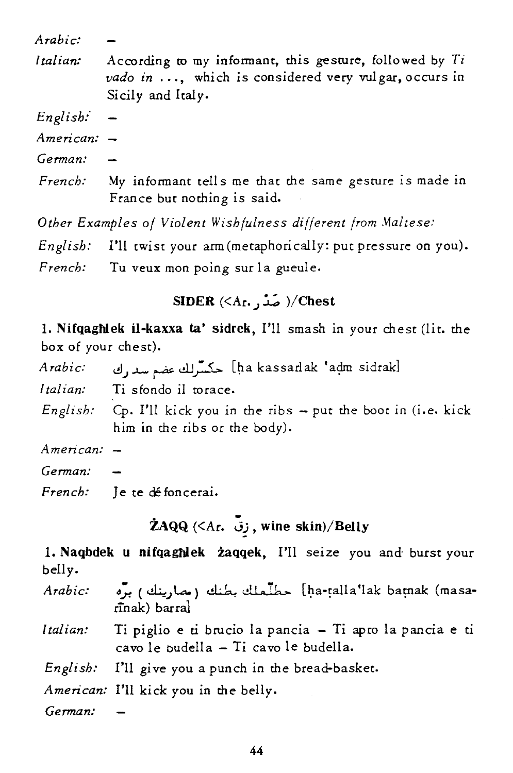*Arabic:* 

*Italian:*  According to my infonnant, this gesture, followed by *Ti vado in* ... , which is considered very vulgar, occurs in Sicily and Italy.

*English:-*

*American:* 

*German:* 

*French:*  My infonnant tell s me that the same gesture is made in France but nothing is said.

*Other Examples of Violent Wishfulness different from Maltese:* 

*English:* I'll twist your arm (metaphorically: put pressure on you).

*French:* Tu veux mon poing sur la gueule.

# SIDER  $(\leq A_r, \ldots) /$ Chest

1. Nifqaghiek il-kaxxa ta' sidrek, I'll smash in your chest (lit. the box of your chest).

| Arabic:       | [ha kassarlak 'adm sidrak] حكسرلك عضع سدرك                                                                    |
|---------------|---------------------------------------------------------------------------------------------------------------|
| Italian:      | Ti sfondo il torace.                                                                                          |
|               | <i>English:</i> Cp. I'll kick you in the ribs $-$ put the boot in (i.e. kick<br>him in the ribs or the body). |
| $American: -$ |                                                                                                               |

*American:* 

*German:* 

*French:* Je te défoncerai.

- ZAQQ *«At.* 13), wine skin)/Belly

1. Naqbdek u nifqaghlek zaqqek, I'll seize you and- burst your belly.

*Arabic:*  -ha-talla'lak batnak (masa) حطَّىعلك بطنك (مصارينك) برَّه rrnak) barra]

*I tal ian:*  Ti piglio e ti brucio la pancia - Ti apro la pancia e ti cavo le budeIla - Ti cavo le budella.

*English:* I'll give you a punch in the bread-basket.

*American:* I'll kick you in the belly.

*German:*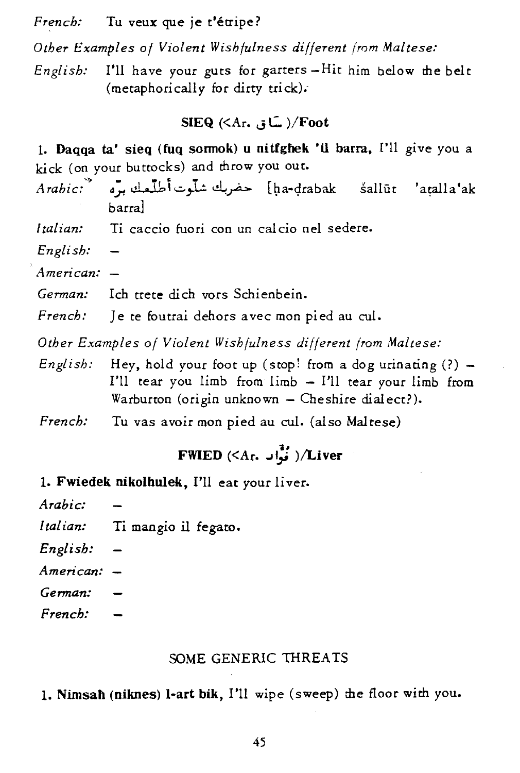*French:* Tu veux que je t'étripe?

*Other Examples of Violent Wishfulness different from Maltese:* 

*English:* I'll have your guts for garters -Hit him below the belt (metaphorically for dirty trick).-

### $SIEQ$   $(\langle Ar, ., .]$  /Foot

1. Daqqa ta' sieq (fuq sonnok) u nitfghek 'il barra, <sup>[']</sup>l give you a kick (on your buttocks) and throw *you* out.

- *Arabic:''>* cS~ dJbi....:..".l.!~.rA> [~a-<;Irabak salliit 'atalla'ak barral
- *Italian:* Ti caccio fuori con un calcio nel sedere.
- *English:*
- *American:*
- *German:* Ich trete di ch vors Schienbein.
- *French:* Je te foutrai dehors avec mon pied au cul.

*Other Examples of Violent Wishfulness different /rom Maltese:* 

- *English:* Hey, hold your foot up (stop! from a dog urinating  $(?) -$ I'll tear you  $limb$  from  $limb - I'$ ll tear your  $limb$  from Warburton (origin unknown - Cheshire dialect?).
- *French:* Tu vas avoir mon pied au cul. (also Maltese)

# FWIED (<Ar. فَوَّاد )/Liver

- 1. Fwiedek nikolhulek, I'll eat your liver.
- *Arabic:*
- *Italian:* Ti mangio il fegato.
- *English:*
- *American:*
- *German:*
- *French:*

#### SOME GENERIC THREATS

1. Nimsah (niknes) I-art bik, I'U wipe (sweep) the floor with *you.*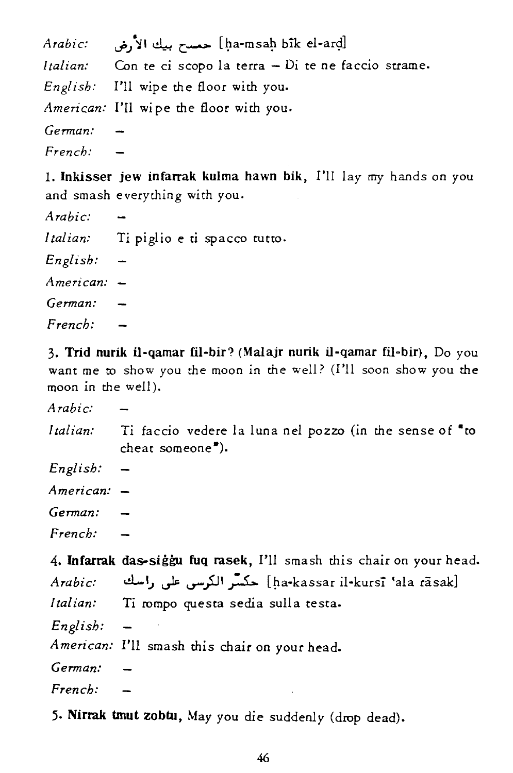|         | ha-msaḥ bik el-arḍ] حمسح بيك الأرض       :Arabic:           |
|---------|-------------------------------------------------------------|
|         | Italian: Con te ci scopo la terra - Di te ne faccio strame. |
|         | <i>English:</i> I'll wipe the floor with you.               |
|         | American: I'll wipe the floor with you.                     |
| German: |                                                             |
| French: |                                                             |
|         |                                                             |

1. Inkisser jew infarrak kulrna hawn bik, I'll lay my hands on you and smash everything with you.

| Arabic:     |                                       |
|-------------|---------------------------------------|
|             | Italian: Ti piglio e ti spacco tutto. |
| English:    |                                       |
| American: - |                                       |
| German:     |                                       |
| French:     |                                       |

3. Trid nurik il-qamar fil-bir? (Malajr nurik il-qamar fil-bir), Do you want me to show you the moon in the well? (I'll soon show you the moon in the well).

*Arabic: Italian:*  Ti faccio vedere la luna nel pozzo (in the sense of "to cheat someone").

*English:* 

*American:* 

*German:* 

*French:* 

4. Infarrak das-siggu fuq rasek, I'll smash this chair on your head. *Arabic:* d-I.J u-k u-}JI;..s.:.. [~a-kassar il-kursl 'ala rasak] *Italian:* Ti rompo questa sedia sulla testa.

*English:* 

*American:* I'll smash this chair on your head.

*German:* 

*French:* 

5· Nirrak tmut zobtu, May you die suddenly (drop dead).

46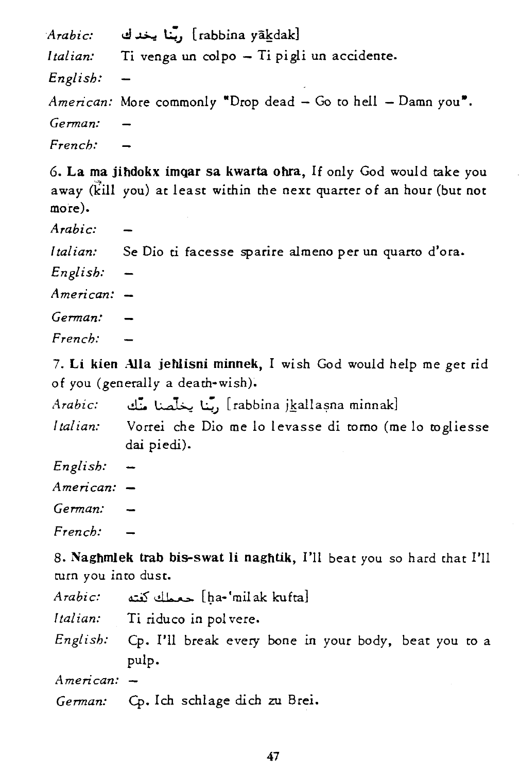|             | Arabic: أَبْنا يخدك . Arabic:                                    |
|-------------|------------------------------------------------------------------|
|             | Italian: Ti venga un colpo - Ti pigli un accidente.              |
| English:    | $\sim$                                                           |
|             | American: More commonly "Drop dead $-$ Go to hell $-$ Damn you". |
| German:     |                                                                  |
| $French: -$ |                                                                  |

6. La ma jihdokx imqar sa kwarta ohra. If only God would take you away (kill you) at least within the next quarter of an hour (but not more).

*Arabic:* 

*Italian:* Se Dio *ti* facesse sparire almeno per un quarto d'ora.

*English:* 

*American:* 

*German:* 

*French:* 

7. Li kien Alla jehiisni minnek, I wish God would help me get rid of you (generally a death-wish).

*Arabic:* cl::. ~ ~.) [rabbina jkalla~na minnak]

*I tal ian:*  Vorrei che Dio me lo levasse di tomo (me lo togliesse dai piedi).

*English:* 

*American:* 

*German:* 

*French:* 

8. Naghmlek trab bis-swat li naghtik, I'll beat you so hard that I'll turn you into dust.

| Arabi c:      | ha-'milak kufta] حعملك كغته                                             |
|---------------|-------------------------------------------------------------------------|
|               | Italian: Ti riduco in polvere.                                          |
|               | English: Cp. I'll break every bone in your body, beat you to a<br>pulp. |
| $American: -$ |                                                                         |
|               | German: Cp. Ich schlage dich zu Brei.                                   |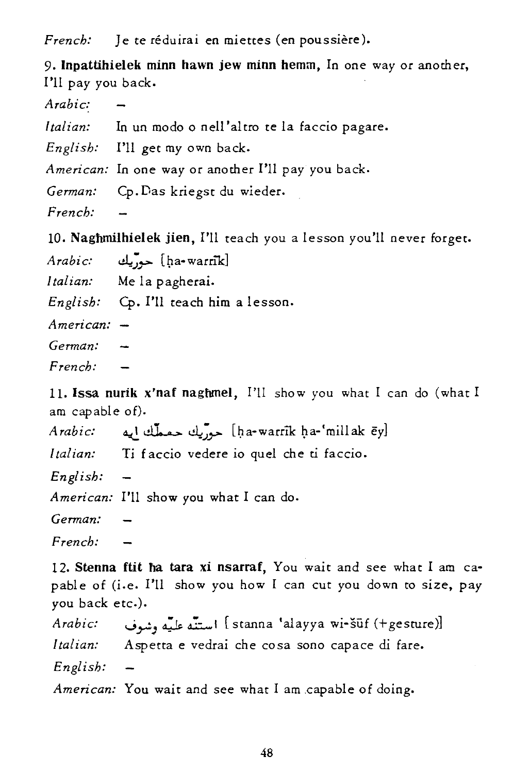*French:* Je te réduirai en miettes (en poussière).

9. Inpattihielek minn hawn jew minn hemm, In one way or another, I'll pay you back.

*Arabic: Italian:* In un modo 0 nell 'altro te la faccio pagare. *English:* I'll get my own back. *American:* In one way or another I'll pay you back. *German:* Cp.Das kriegst du wieder. *French:*   $\rightarrow$ 

10. Naghmilhielek jien, I'll teach you a lesson you'll never forget.

*Arabic:* ~~~ [l;1a-warn"k]

*Italian:* Me la pagherai.

*English:* Cp. I'll teach him a lesson.

*American:* 

*German:* 

*French:* 

ll. Issa nurik x'naf naghmel, I'll show you what I can do (what I am capable of).

*Arabic:* ~ ~ ~~~ [~a-warrik l;1a-'millak ey]

*Italian:* Ti faccio vedere io quel che ti faccio.

*English:*   $\rightarrow$ 

*American:* I'll show you what I can do.

*German:* 

*French:* 

12. Stenna ftit ha tara xi nsarraf, You wait and see what I am capable of (i.e. I'U show you how I can cut you down to size, pay you back etc.).

*Arabic:* "";r-J ~ ~I [stanna 'alayya wi-suf (+gesrure)] *Italian:* Aspetta e vedrai che cosa sono capace di fare. *English:*  American: You wait and see what I am capable of doing.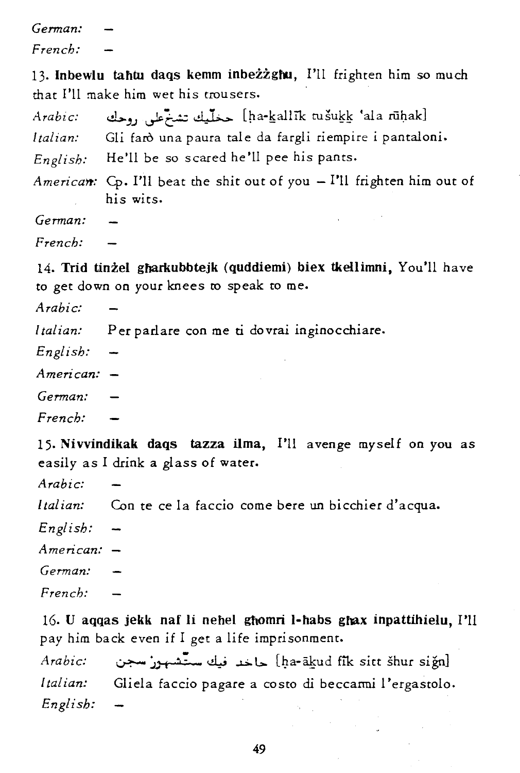*German: French:* 

13. Inbewlu tahtu daqs kemm inbezzghu, I'll frighten him so much that I'll make him wet his trousers.

*Arabic:* ci..>."'.J ~'C....:.; ~ [pa-kallIk tusukk 'ala rii!:tak] *Italian:* Gli faro una paura tale da fargli riempire i pantaloni. *English:* He'll be so scared he'll pee his pants.

*Americart:* Cp. I'll beat the shit out of you - I'll frighten him out of his wits.

*German:* 

*French:* 

14. Trid tinżel gharkubbtejk (quddiemi) biex tkellimni. You'll have to get down on your knees to speak to me.

*Arabic:* 

*Italian:* Per parlare con me ti dovrai inginocchiare.

*English:* 

*American:* 

*German:* 

*French:* 

15. Nivvindikak daqs tazza ilma, I'll avenge myself on you as *easily* as I drink a glass of water.

*Arabic:* 

*Italian:* Con te ce la faccio come bere un bicchier d'acqua.

*English:* 

*American:* 

*German:* 

*French:* 

16. U aqqas jekk naf li nehel ghomri I-habs ghax inpattihielu, I'll pay him back even if I get a life imprisonment.

*Arabic:* ~ ~ j "!:' ~ <!.l,..; ~ l> [I)a-atud fik site shur sign] *I tal ian:* Gliela faccio pagare a costo di beccarmi 1 'ergastolo. *English:*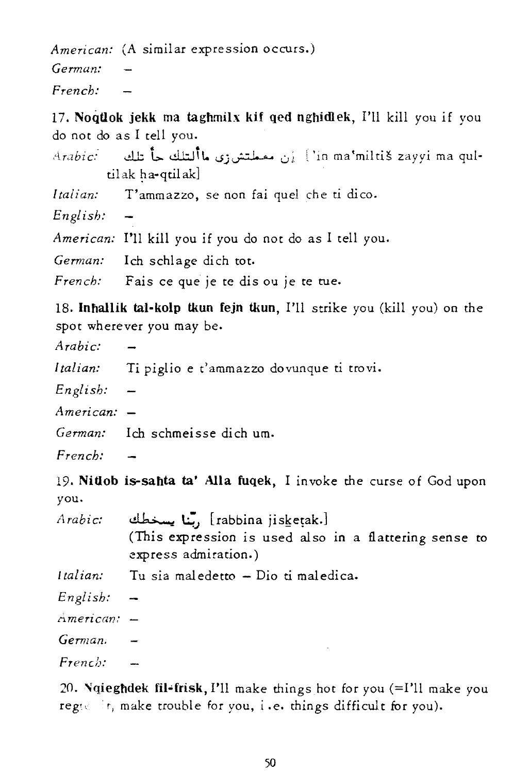American: (A similar expression occurs.)

*Gennan: French:* 

17. Noqtlok jekk ma taghmilx kif Qed nghidlek, I'll kill *you* if you do not do as I tell you.

• • *Ar,zbic:-* dJ; L,.. dl::J1t. uj~ u; ~ 'in ma'miltis zayyi ma quItil ak ha-qtil ak]

*I taiian:* T'ammazzo, se non fai que! che ti dico.

*English:* 

*American:* I'll kill you if you do not do as I tell you.

German: Ich schlage dich tot.

French: Fais ce que je te dis ou je te tue.

18. Inhallik tal-kolp tkun fejn tkun, I'll strike you (kill you) on the spot wherever you may be.

*Arabic:* 

*Italian:* Ti piglio e t'ammazzo dovunque ti trovi.

*English:* 

*American:* 

*German:* Ich schmeisse dich um.

*French:* 

19. Nitlob is-sahta ta' AlIa fuqek, I invoke the curse of God upon you.

*Arabic:*  rabbina jisketak.] ,بَّنا يسخطك (This expression is used also in a flattering sense to express admiration.)

*Italian:*  Tu sia maledetto - Dio ti maledica.

*English:* 

rl. *meri can,'* 

*Gemzan.* 

*French:* 

20. Ngieghdek fil-frisk, I'll make things hot for you  $(=I'$ ll make you reges it, make trouble for you, i.e. things difficult for you).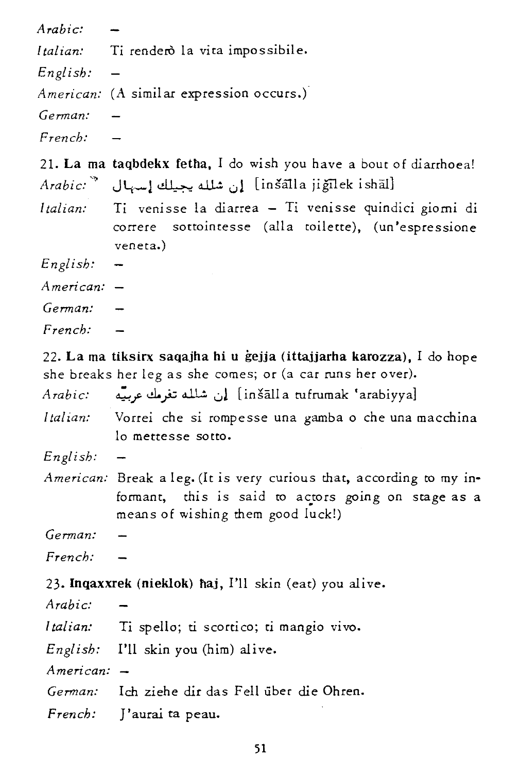| Arabic:       |                                                                                                                                                                  |
|---------------|------------------------------------------------------------------------------------------------------------------------------------------------------------------|
| Italian:      | Ti renderò la vita impossibile.                                                                                                                                  |
| English:      |                                                                                                                                                                  |
|               | American: (A similar expression occurs.)                                                                                                                         |
| German:       |                                                                                                                                                                  |
| French:       |                                                                                                                                                                  |
|               | 21. La ma taqbdekx fetha, I do wish you have a bout of diarrhoea!                                                                                                |
|               | Arabic: أن شلله يجيلك إسهال     "Thek ishall إن شلله يجيلك إسهال                                                                                                 |
| Italian:      | Ti venisse la diarrea - Ti venisse quindici giorni di<br>sottointesse (alla toilette), (un'espressione<br>correre<br>veneta.)                                    |
| English:      |                                                                                                                                                                  |
| $American: -$ |                                                                                                                                                                  |
| German:       |                                                                                                                                                                  |
| French:       |                                                                                                                                                                  |
|               | 22. La ma tiksirx saqajha hi u gejja (ittajjarha karozza), I do hope<br>she breaks her leg as she comes; or (a car runs her over).                               |
| Arabic:       | inšālla tufrumak 'arabiyya]] إن شلله تغرمك عربيّة                                                                                                                |
| Italian:      | Vorrei che si rompesse una gamba o che una macchina<br>lo mettesse sotto.                                                                                        |
| English:      |                                                                                                                                                                  |
|               | American: Break a leg. (It is very curious that, according to my in-<br>formant, this is said to actors going on stage as a<br>means of wishing them good luck!) |
| German:       |                                                                                                                                                                  |
| French:       |                                                                                                                                                                  |
|               | 23. Inqaxxrek (nieklok) haj, I'll skin (eat) you alive.                                                                                                          |
| Arabic:       |                                                                                                                                                                  |
| Italian:      | Ti spello; ti scortico; ti mangio vivo.                                                                                                                          |
| English:      | I'll skin you (him) alive.                                                                                                                                       |
| American:     |                                                                                                                                                                  |
| German:       | Ich ziehe dir das Fell über die Ohren.                                                                                                                           |
| French:       | J'aurai ta peau.                                                                                                                                                 |
|               |                                                                                                                                                                  |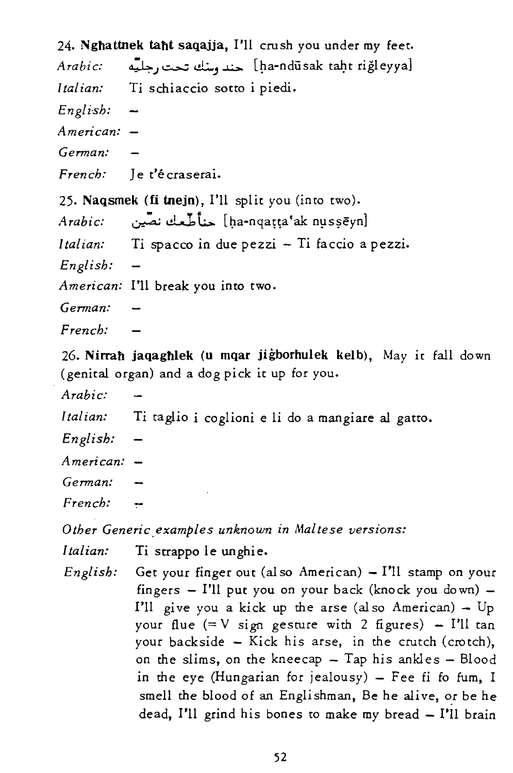24. Nghattnek taht saqajja, I'll crush you under my feet. *Arabic:* ~..1 ~ <.!l:..." ~ [~a-ndusak tal].t rigleyya] *Italian:* Ti schiaccio sotto i piedi. *Engli-sh: American: German: French:* le t'écraserai. 25. Naqsmek (fi tnejn), I'll split you (into two). *Arabic:* ~ - .1 '1" d.....b\.:.:.. [~a-nqaHa'ak nys?eyn] *Italian:* Ti spacco in due pezzi - Ti faccio a pezzi. *English: American:* I'll break you into two. *German: French:* 

26. Nirrah jaqaghlek (u mqar jigborhulek kelb), May it fall down (genital organ) and a dog pick it up for you.

*Arabic:* 

*Italian:* Ti taglio i coglioni e li do a mangiare al gatto.

*English:* 

*American:* 

*German:* 

*French:* 

*Other Generic.examples unknown in Maltese versions:* 

*Italian:* Ti strappo le unghie.

*English:* Get your finger out (also American) - I'll stamp on your fingers  $-$  I'll put you on your back (knock you down)  $-$ I'll give you a kick up the arse (also American) -  $Up$ your flue  $(= V \sin \theta)$  gesture with 2 figures) - I'll tan your backside - Kick his arse, in the crutch (crotch), on the slims, on the kneecap  $-$  Tap his ankles  $-$  Blood in the eye (Hungarian for jealousy)  $-$  Fee fi fo fum, I smell the blood of an Englishman, Be he alive, or be he dead, I'll grind his bones to make my bread - I'll brain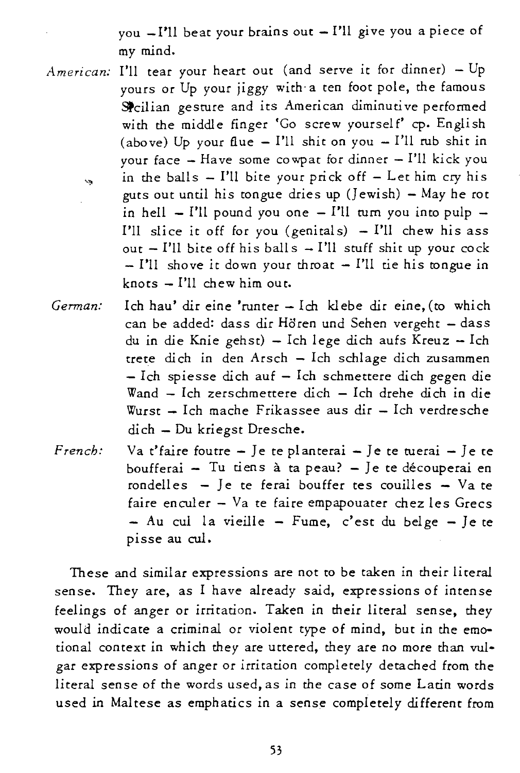you  $-I'$ ll beat your brains out  $-I'$ ll give you a piece of my mind.

- *American:*  I'll tear your heart out (and serve it for dinner) Up yours or Up your jiggy with- a ten foot pole, the famous Spcilian gesture and its American diminutive performed with the middle finger 'Go screw yourself' cp. English (above) Up your flue  $-$  I'll shit on you  $-$  I'll rub shit in your face  $-$  Have some cowpat for dinner  $-$  I'll kick you in the balls  $-$  I'll bite your prick off  $-$  Let him cry his  $\ddot{\mathbf{z}}$ guts out until his tongue dries up  $(J$  ewish) - May he rot in hell  $-$  I'll pound you one  $-$  I'll turn you into pulp  $-$ I'll slice it off for you (genitals)  $-$  I'll chew his ass out  $-$  I'll bite off his balls  $-$  I'll stuff shit up your cock  $-$  I'll shove it down your throat  $-$  I'll tie his tongue in  $knots = I'll$  chew him out.
- *Gennan:*  Ich hau' dir eine 'runter - Ich klebe dir eine, (to which can be added: dass dir Hören und Sehen vergeht - dass du in die Knie gehst) - Ich lege dich aufs Kreuz - Ich trete dich in den Arsch - Ich schlage dich zusammen - Ich spiesse dich auf - Ich schmettere dich gegen die Wand - Ich zerschmettere dich - Ich drehe dich in die  $Wurst - Ich$  mache Frikassee aus dir  $-$  Ich verdresche dich - Du *kriegst* Dresche.
- *French:*  Va t'faire foutre  $-$  Je te planterai  $-$  Je te tuerai  $-$  Je te boufferai - Tu tiens à ta peau? - Je te découperai en rondelles  $-$  Je te ferai bouffer tes couilles  $-$  Va te faire enculer  $-$  Va te faire empapouater chez les Grecs  $-$  Au cul la vieille  $-$  Fume, c'est du belge  $-$  Je te pisse au cul.

These and similar expressions are not to be taken in their literal sense. They are, as I have already said, expressions of intense feelings of anger or irritation. Taken in their literal sense, they would indicate a criminal or violent type of mind, but in the emotional context in which they are uttered, they are no more than vulgar expressions of anger or irritation completely detached from the literal sense of the words used, as in the case of some Latin words used in Maltese as emphatics in a sense completely different from

53